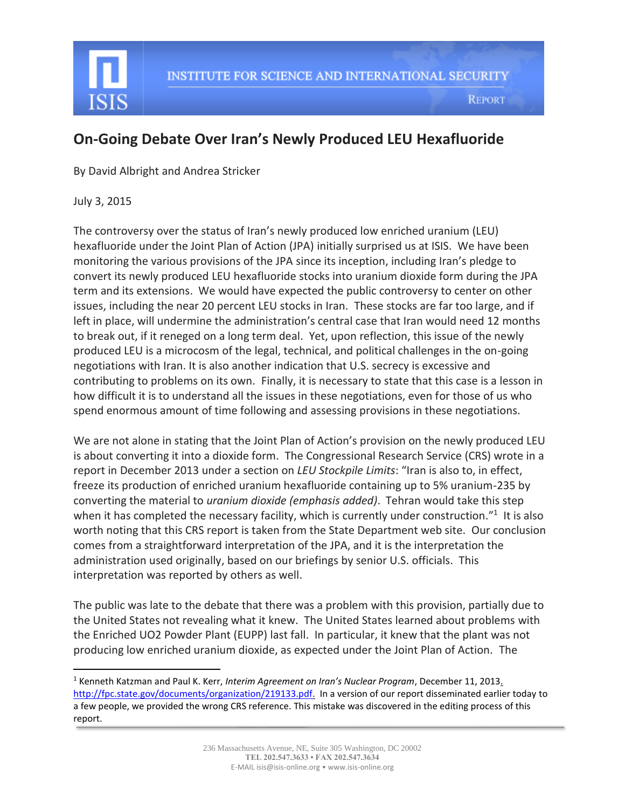

## **On-Going Debate Over Iran's Newly Produced LEU Hexafluoride**

By David Albright and Andrea Stricker

July 3, 2015

 $\overline{\phantom{a}}$ 

The controversy over the status of Iran's newly produced low enriched uranium (LEU) hexafluoride under the Joint Plan of Action (JPA) initially surprised us at ISIS. We have been monitoring the various provisions of the JPA since its inception, including Iran's pledge to convert its newly produced LEU hexafluoride stocks into uranium dioxide form during the JPA term and its extensions. We would have expected the public controversy to center on other issues, including the near 20 percent LEU stocks in Iran. These stocks are far too large, and if left in place, will undermine the administration's central case that Iran would need 12 months to break out, if it reneged on a long term deal. Yet, upon reflection, this issue of the newly produced LEU is a microcosm of the legal, technical, and political challenges in the on-going negotiations with Iran. It is also another indication that U.S. secrecy is excessive and contributing to problems on its own. Finally, it is necessary to state that this case is a lesson in how difficult it is to understand all the issues in these negotiations, even for those of us who spend enormous amount of time following and assessing provisions in these negotiations.

We are not alone in stating that the Joint Plan of Action's provision on the newly produced LEU is about converting it into a dioxide form. The Congressional Research Service (CRS) wrote in a report in December 2013 under a section on *LEU Stockpile Limits*: "Iran is also to, in effect, freeze its production of enriched uranium hexafluoride containing up to 5% uranium-235 by converting the material to *uranium dioxide (emphasis added)*. Tehran would take this step when it has completed the necessary facility, which is currently under construction."<sup>1</sup> It is also worth noting that this CRS report is taken from the State Department web site. Our conclusion comes from a straightforward interpretation of the JPA, and it is the interpretation the administration used originally, based on our briefings by senior U.S. officials. This interpretation was reported by others as well.

The public was late to the debate that there was a problem with this provision, partially due to the United States not revealing what it knew. The United States learned about problems with the Enriched UO2 Powder Plant (EUPP) last fall. In particular, it knew that the plant was not producing low enriched uranium dioxide, as expected under the Joint Plan of Action. The

<sup>1</sup> Kenneth Katzman and Paul K. Kerr, *Interim Agreement on Iran's Nuclear Program*, December 11, 2013. [http://fpc.state.gov/documents/organization/219133.pdf.](http://fpc.state.gov/documents/organization/219133.pdf) In a version of our report disseminated earlier today to a few people, we provided the wrong CRS reference. This mistake was discovered in the editing process of this report.